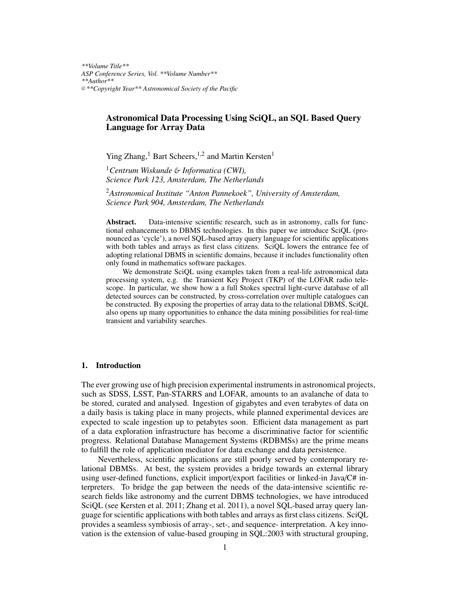*\*\*Volume Title\*\* ASP Conference Series, Vol. \*\*Volume Number\*\* \*\*Author\*\** <sup>c</sup> *\*\*Copyright Year\*\* Astronomical Society of the Pacific*

# Astronomical Data Processing Using SciQL, an SQL Based Query Language for Array Data

Ying Zhang,<sup>1</sup> Bart Scheers,<sup>1,2</sup> and Martin Kersten<sup>1</sup>

<sup>1</sup>*Centrum Wiskunde* & *Informatica (CWI), Science Park 123, Amsterdam, The Netherlands*

<sup>2</sup>*Astronomical Institute "Anton Pannekoek", University of Amsterdam, Science Park 904, Amsterdam, The Netherlands*

Abstract. Data-intensive scientific research, such as in astronomy, calls for functional enhancements to DBMS technologies. In this paper we introduce SciQL (pronounced as 'cycle'), a novel SQL-based array query language for scientific applications with both tables and arrays as first class citizens. SciQL lowers the entrance fee of adopting relational DBMS in scientific domains, because it includes functionality often only found in mathematics software packages.

We demonstrate SciQL using examples taken from a real-life astronomical data processing system, e.g. the Transient Key Project (TKP) of the LOFAR radio telescope. In particular, we show how a a full Stokes spectral light-curve database of all detected sources can be constructed, by cross-correlation over multiple catalogues can be constructed. By exposing the properties of array data to the relational DBMS, SciQL also opens up many opportunities to enhance the data mining possibilities for real-time transient and variability searches.

## 1. Introduction

The ever growing use of high precision experimental instruments in astronomical projects, such as SDSS, LSST, Pan-STARRS and LOFAR, amounts to an avalanche of data to be stored, curated and analysed. Ingestion of gigabytes and even terabytes of data on a daily basis is taking place in many projects, while planned experimental devices are expected to scale ingestion up to petabytes soon. Efficient data management as part of a data exploration infrastructure has become a discriminative factor for scientific progress. Relational Database Management Systems (RDBMSs) are the prime means to fulfill the role of application mediator for data exchange and data persistence.

Nevertheless, scientific applications are still poorly served by contemporary relational DBMSs. At best, the system provides a bridge towards an external library using user-defined functions, explicit import/export facilities or linked-in Java/C# interpreters. To bridge the gap between the needs of the data-intensive scientific research fields like astronomy and the current DBMS technologies, we have introduced SciQL (see Kersten et al. 2011; Zhang et al. 2011), a novel SQL-based array query language for scientific applications with both tables and arrays as first class citizens. SciQL provides a seamless symbiosis of array-, set-, and sequence- interpretation. A key innovation is the extension of value-based grouping in SQL:2003 with structural grouping,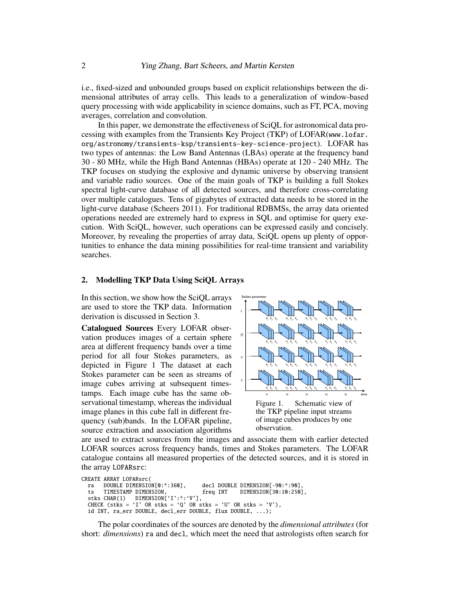i.e., fixed-sized and unbounded groups based on explicit relationships between the dimensional attributes of array cells. This leads to a generalization of window-based query processing with wide applicability in science domains, such as FT, PCA, moving averages, correlation and convolution.

In this paper, we demonstrate the effectiveness of SciQL for astronomical data processing with examples from the Transients Key Project (TKP) of LOFAR(www.lofar. org/astronomy/transients-ksp/transients-key-science-project). LOFAR has two types of antennas: the Low Band Antennas (LBAs) operate at the frequency band 30 - 80 MHz, while the High Band Antennas (HBAs) operate at 120 - 240 MHz. The TKP focuses on studying the explosive and dynamic universe by observing transient and variable radio sources. One of the main goals of TKP is building a full Stokes spectral light-curve database of all detected sources, and therefore cross-correlating over multiple catalogues. Tens of gigabytes of extracted data needs to be stored in the light-curve database (Scheers 2011). For traditional RDBMSs, the array data oriented operations needed are extremely hard to express in SQL and optimise for query execution. With SciQL, however, such operations can be expressed easily and concisely. Moreover, by revealing the properties of array data, SciQL opens up plenty of opportunities to enhance the data mining possibilities for real-time transient and variability searches.

## 2. Modelling TKP Data Using SciQL Arrays

In this section, we show how the SciQL arrays are used to store the TKP data. Information derivation is discussed in Section 3.

 $\frac{1}{2}$  collection of all the same cubes.<br>Servational timestamp, whereas the individual Figure 1. Stokes parameter can be seen as streams of  $\Box$ Catalogued Sources Every LOFAR observation produces images of a certain sphere area at different frequency bands over a time period for all four Stokes parameters, as depicted in Figure 1 The dataset at each image cubes arriving at subsequent timestamps. Each image cube has the same obimage planes in this cube fall in different frequency (sub)bands. In the LOFAR pipeline, source extraction and association algorithms



hms observation.  $t_{\text{min}}$ ,  $\frac{1}{2}$ ,  $\frac{1}{2}$ ,  $\frac{1}{2}$ ,  $\frac{1}{2}$ ,  $\frac{1}{2}$ ,  $\frac{1}{2}$ ,  $\frac{1}{2}$ ,  $\frac{1}{2}$ ,  $\frac{1}{2}$ ,  $\frac{1}{2}$ ,  $\frac{1}{2}$ ,  $\frac{1}{2}$ ,  $\frac{1}{2}$ ,  $\frac{1}{2}$ ,  $\frac{1}{2}$ ,  $\frac{1}{2}$ ,  $\frac{1}{2}$ ,  $\frac{1}{2}$ ,  $\frac{1}{2}$ , ages and associate them with earlier detected collection of all the images cubes. The cubes collection is maintained in the bases of and the bases of and the bases of and the base of and the base of and the base of and the base of and the bases of and the bases of and es of the detected sources, and it is stored in is times and Stokes parameters. The LOFAR are used to extract sources from the images and associate them with earlier detected catalogue contains all measured properties of the detected sources, and it is stored in LOFAR sources across frequency bands, times and Stokes parameters. The LOFAR the array LOFARsrc:

```
\mathcal{L} sources, is kept in the cataloged sources table. Positions of sources table. Positions of sources table. Positions of sources table. Positions of sources table. Positions of sources table. Positions of sources ta
    \begin{bmatrix} 1 & 1 & 1 & 1 \\ 1 & 1 & 1 & 1 \\ 1 & 1 & 1 & 1 \\ 1 & 1 & 1 & 1 \\ 1 & 1 & 1 & 1 \\ 1 & 1 & 1 & 1 \\ 1 & 1 & 1 & 1 \\ 1 & 1 & 1 & 1 \\ 1 & 1 & 1 & 1 \\ 1 & 1 & 1 & 1 \\ 1 & 1 & 1 & 1 \\ 1 & 1 & 1 & 1 \\ 1 & 1 & 1 & 1 \\ 1 & 1 & 1 & 1 \\ 1 & 1 & 1 & 1 & 1 \\ 1 & 1 & 1 & 1 & 1 \\ 1 & 1 & 1 & 1 & 1 \\ fini – pinding a positional match – either a genuine or background or background or background or background o
                                                                                association \mathcal{L}^{(II)} on \mathcal{L}^{(II)}d INT, ra_err DOUBLE, decl_err DOUBLE, flux DOUBLE, ...);
                                                                                \sum_{i=1}^{n}\begin{bmatrix} 0 & 0 & 0 & 0 \\ 0 & 0 & 0 & 0 \\ 0 & 0 & 0 & 0 \\ 0 & 0 & 0 & 0 \\ 0 & 0 & 0 & 0 \\ 0 & 0 & 0 & 0 \\ 0 & 0 & 0 & 0 \\ 0 & 0 & 0 & 0 \\ 0 & 0 & 0 & 0 \\ 0 & 0 & 0 & 0 \\ 0 & 0 & 0 & 0 \\ 0 & 0 & 0 & 0 \\ 0 & 0 & 0 & 0 \\ 0 & 0 & 0 & 0 \\ 0 & 0 & 0 & 0 \\ 0 & 0 & 0 & 0 \\ 0 & 0 & 0 & 0 \\ 0 & 0 & 0 & 'U' OR stks = 'V'),
                                                                                \sum_{i=1}^{n} curves that will also the source classification. The criteria for which and \sum_{i=1}^{n}\blacksquare<sup>sidered</sup> as real or by the by evaluating three intervalues is done by the intervaluation of \blacksquareparameters that is very useful is very useful is very useful is the normalised distance between the two two two
CREATE ARRAY LOFARsrc(<br>ra DOUBLE DIMENSION[0:*:360],
    ts TIMESTAMP DIMENSION, freq INT DIMENSION[30:10:250],
    stks CHAR(1) DIMENSION['I':*:'V'],
    CHECK (stks = 'I' OR stks = 'Q' OR stks = 'U' OR stks = 'V'),
```
oro.  $T_{\text{tot}}$  of the source association is to find for  $f_{\text{tot}}$ neet the need that astrologists often search for light curves that will aid the source classification. The criteria for which an The polar coordinates of the sources are denoted by the *dimensional attributes* (for  $p$  is very useful is very useful is the normalised distance between the two normalised distance between the two normalised distance between the two normalised distance between the two normalised distance between the two which follows a Rayleigh probability distribution. Contains for the third values of the third values for the thing values of the third values of the third values of the third values of the third values of the third values short: *dimensions*) ra and decl, which meet the need that astrologists often search for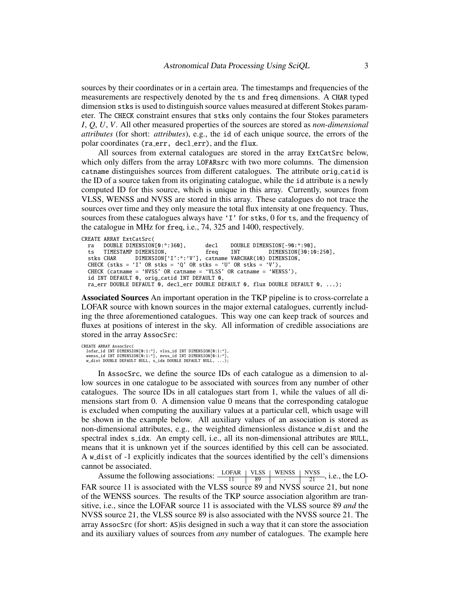sources by their coordinates or in a certain area. The timestamps and frequencies of the measurements are respectively denoted by the ts and freq dimensions. A CHAR typed dimension stks is used to distinguish source values measured at different Stokes parameter. The CHECK constraint ensures that stks only contains the four Stokes parameters *I*, *Q*, *U*, *V*. All other measured properties of the sources are stored as *non-dimensional attributes* (for short: *attributes*), e.g., the id of each unique source, the errors of the polar coordinates (ra err, decl err), and the flux.

All sources from external catalogues are stored in the array ExtCatSrc below, which only differs from the array LOFARsrc with two more columns. The dimension catname distinguishes sources from different catalogues. The attribute orig catid is the ID of a source taken from its originating catalogue, while the id attribute is a newly computed ID for this source, which is unique in this array. Currently, sources from VLSS, WENSS and NVSS are stored in this array. These catalogues do not trace the sources over time and they only measure the total flux intensity at one frequency. Thus, sources from these catalogues always have 'I' for stks, 0 for ts, and the frequency of the catalogue in MHz for freq, i.e., 74, 325 and 1400, respectively.

```
CREATE ARRAY ExtCatSrc(<br>ra DOUBLE DIMENSION[0:*:360].
 ra DOUBLE DIMENSION[0:*:360], decl DOUBLE DIMENSION[-90:*:90],<br>ts TIMESTAMP DIMENSION, freq INT DIMENSION[30:10:250],
  ts TIMESTAMP DIMENSION, freq INT DIMENSION[30:10:250],
  stks CHAR DIMENSION['I':*:'V'], catname VARCHAR(10) DIMENSION,
  CHECK (stks = 'I' OR stks = 'Q' OR stks = 'U' OR stks = 'V'),
 CHECK (catname = 'NVSS' OR catname = 'VLSS' OR catname = 'WENSS'),
 id INT DEFAULT 0, orig_catid INT DEFAULT 0,
 ra_err DOUBLE DEFAULT 0, decl_err DOUBLE DEFAULT 0, flux DOUBLE DEFAULT 0, ...);
```
Associated Sources An important operation in the TKP pipeline is to cross-correlate a LOFAR source with known sources in the major external catalogues, currently including the three aforementioned catalogues. This way one can keep track of sources and fluxes at positions of interest in the sky. All information of credible associations are stored in the array AssocSrc:

CREATE ARRAY AssocSrc( lofar\_id INT DIMENSION[0:1:\*], vlss\_id INT DIMENSION[0:1:\*], wenss\_id INT DIMENSION[0:1:\*], nvss\_id INT DIMENSION[0:1:\*], w\_dist DOUBLE DEFAULT NULL, s\_idx DOUBLE DEFAULT NULL,

In AssocSrc, we define the source IDs of each catalogue as a dimension to allow sources in one catalogue to be associated with sources from any number of other catalogues. The source IDs in all catalogues start from 1, while the values of all dimensions start from 0. A dimension value 0 means that the corresponding catalogue is excluded when computing the auxiliary values at a particular cell, which usage will be shown in the example below. All auxiliary values of an association is stored as non-dimensional attributes, e.g., the weighted dimensionless distance w dist and the spectral index s\_idx. An empty cell, i.e., all its non-dimensional attributes are NULL, means that it is unknown yet if the sources identified by this cell can be associated. A w dist of -1 explicitly indicates that the sources identified by the cell's dimensions cannot be associated.

Assume the following associations:  $\frac{\text{LOFAR}}{11}$   $\frac{\text{VLSS}}{89}$   $\frac{\text{WENSS}}{2}$ , i.e., the LO-FAR source 11 is associated with the VLSS source 89 and NVSS source 21, but none of the WENSS sources. The results of the TKP source association algorithm are transitive, i.e., since the LOFAR source 11 is associated with the VLSS source 89 *and* the NVSS source 21, the VLSS source 89 is also associated with the NVSS source 21. The array AssocSrc (for short: AS)is designed in such a way that it can store the association and its auxiliary values of sources from *any* number of catalogues. The example here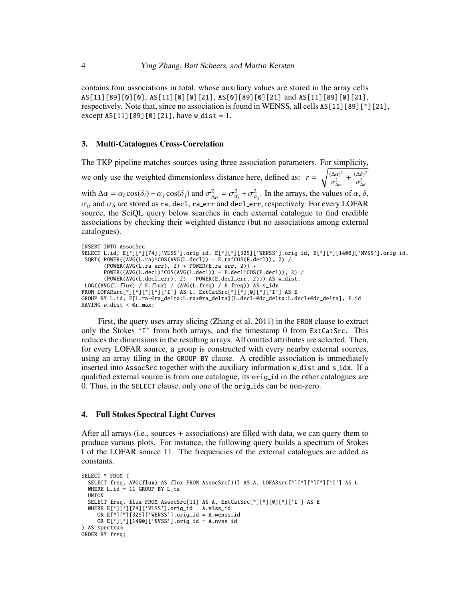contains four associations in total, whose auxiliary values are stored in the array cells AS[11][89][0][0], AS[11][0][0][21], AS[0][89][0][21] and AS[11][89][0][21], respectively. Note that, since no association is found in WENSS, all cells  $AS[11][89][^*][21]$ , except  $AS[11][89][0][21]$ , have w\_dist = 1.

#### 3. Multi-Catalogues Cross-Correlation

The TKP pipeline matches sources using three association parameters. For simplicity, we only use the weighted dimensionless distance here, defined as:  $r = \sqrt{\frac{(\Delta \alpha)^2}{\sigma^2}}$ σ 2 ∆α +  $\frac{(\Delta \delta)^2}{\sigma^2}$ σ 2 ∆δ with  $\Delta \alpha = \alpha_i \cos(\delta_i) - \alpha_j \cos(\delta_j)$  and  $\sigma_{\Delta \alpha}^2 = \sigma_{\alpha_i}^2 + \sigma_{\alpha_j}^2$ . In the arrays, the values of  $\alpha, \delta$ ,  $\sigma_{\alpha_i}$  and  $\sigma_{\alpha_i}$  are stored as randed. In agr and doclarge respectively. For every LOFAR  $\sigma_{\alpha}$  and  $\sigma_{\delta}$  are stored as ra, decl, ra err and decl err, respectively. For every LOFAR<br>source the SciOL query below searches in each external catalogue to find credible source, the SciQL query below searches in each external catalogue to find credible associations by checking their weighted distance (but no associations among external catalogues).

```
INSERT INTO AssocSrc
SELECT L.id, E[*][*][74]['VLSS'].orig_id, E[*][*][325]['WENSS'].orig_id, E[*][*][1400]['NVSS'].orig_id,
SQRT( POWER((AVG(L.ra)*COS(AVG(L.decl)) - E.ra*COS(E.decl)), 2) /
       (POWER(AVG(L.ra_error), 2) + POWER(E.ra_error, 2)) +POWER((AVG(L.decl)*COS(AVG(L.decl)) - E.decl*COS(E.decl)), 2) /
       (POWER(AVG(L.decl_err), 2) + POWER(E.decl_err, 2))) AS w_dist,
 LOG((AVG(L.flux) / E.flux) / (AVG(L.freq) / E.freq)) AS s_idx
FROM LOFARsrc[*][*][*][*]['I'] AS L, ExtCatSrc[*][*][0][*]['I'] AS E
GROUP BY L.id, E[L.ra-@ra_delta:L.ra+@ra_delta][L.decl-@dc_delta:L.decl+@dc_delta], E.id
HAVING w_dist < @r_max;
```
First, the query uses array slicing (Zhang et al. 2011) in the FROM clause to extract only the Stokes 'I' from both arrays, and the timestamp 0 from ExtCatSrc. This reduces the dimensions in the resulting arrays. All omitted attributes are selected. Then, for every LOFAR source, a group is constructed with every nearby external sources, using an array tiling in the GROUP BY clause. A credible association is immediately inserted into AssocSrc together with the auxiliary information w dist and s idx. If a qualified external source is from one catalogue, its orig id in the other catalogues are 0. Thus, in the SELECT clause, only one of the orig ids can be non-zero.

### 4. Full Stokes Spectral Light Curves

After all arrays (i.e., sources + associations) are filled with data, we can query them to produce various plots. For instance, the following query builds a spectrum of Stokes I of the LOFAR source 11. The frequencies of the external catalogues are added as constants.

```
SELECT * FROM (
  SELECT freq, AVG(flux) AS flux FROM AssocSrc[11] AS A, LOFARsrc[*][*][*][*]['I'] AS L
  WHERE L.id = 11 GROUP BY L.ts
  UNION
  SELECT freq, flux FROM AssocSrc[11] AS A, ExtCatSrc[*][*][0][*]['I'] AS E
  WHERE E[*][*][74]['VLSS'].orig_id = A.vlss_id
     OR E[\cdot] [\cdot][325]['WENSS'].orig_id = A.wenss_id
     OR E[*][*][1400]['NVSS'].orig_id = A.nvss_id
) AS spectrum
ORDER BY freq;
```